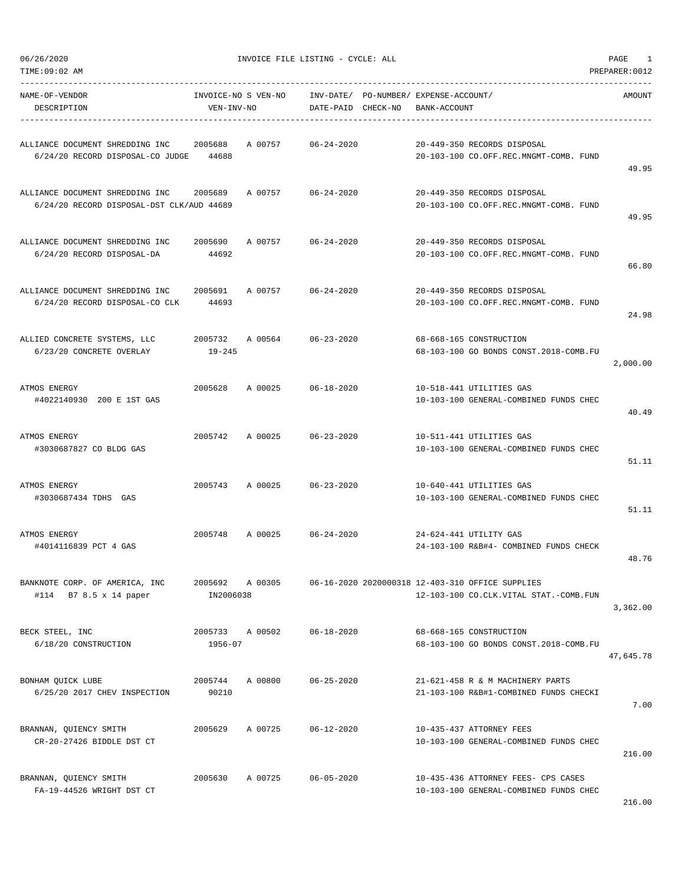| TIME:09:02 AM                                                                |                                   |         |                    |                                                       |                                                                                            | PREPARER: 0012 |
|------------------------------------------------------------------------------|-----------------------------------|---------|--------------------|-------------------------------------------------------|--------------------------------------------------------------------------------------------|----------------|
| NAME-OF-VENDOR<br>DESCRIPTION                                                | INVOICE-NO S VEN-NO<br>VEN-INV-NO |         | DATE-PAID CHECK-NO | INV-DATE/ PO-NUMBER/ EXPENSE-ACCOUNT/<br>BANK-ACCOUNT |                                                                                            | AMOUNT         |
| ALLIANCE DOCUMENT SHREDDING INC<br>6/24/20 RECORD DISPOSAL-CO JUDGE          | 2005688<br>44688                  | A 00757 | $06 - 24 - 2020$   |                                                       | 20-449-350 RECORDS DISPOSAL<br>20-103-100 CO.OFF.REC.MNGMT-COMB. FUND                      | 49.95          |
| ALLIANCE DOCUMENT SHREDDING INC<br>6/24/20 RECORD DISPOSAL-DST CLK/AUD 44689 | 2005689                           | A 00757 | $06 - 24 - 2020$   |                                                       | 20-449-350 RECORDS DISPOSAL<br>20-103-100 CO.OFF.REC.MNGMT-COMB. FUND                      | 49.95          |
| ALLIANCE DOCUMENT SHREDDING INC<br>6/24/20 RECORD DISPOSAL-DA                | 2005690<br>44692                  | A 00757 | $06 - 24 - 2020$   |                                                       | 20-449-350 RECORDS DISPOSAL<br>20-103-100 CO.OFF.REC.MNGMT-COMB. FUND                      | 66.80          |
| ALLIANCE DOCUMENT SHREDDING INC<br>6/24/20 RECORD DISPOSAL-CO CLK            | 2005691<br>44693                  | A 00757 | $06 - 24 - 2020$   |                                                       | 20-449-350 RECORDS DISPOSAL<br>20-103-100 CO.OFF.REC.MNGMT-COMB. FUND                      | 24.98          |
| ALLIED CONCRETE SYSTEMS, LLC<br>6/23/20 CONCRETE OVERLAY                     | 2005732<br>19-245                 | A 00564 | $06 - 23 - 2020$   |                                                       | 68-668-165 CONSTRUCTION<br>68-103-100 GO BONDS CONST.2018-COMB.FU                          | 2,000.00       |
| ATMOS ENERGY<br>#4022140930 200 E 1ST GAS                                    | 2005628                           | A 00025 | 06-18-2020         |                                                       | 10-518-441 UTILITIES GAS<br>10-103-100 GENERAL-COMBINED FUNDS CHEC                         | 40.49          |
| ATMOS ENERGY<br>#3030687827 CO BLDG GAS                                      | 2005742                           | A 00025 | 06-23-2020         |                                                       | 10-511-441 UTILITIES GAS<br>10-103-100 GENERAL-COMBINED FUNDS CHEC                         | 51.11          |
| ATMOS ENERGY<br>#3030687434 TDHS GAS                                         | 2005743                           | A 00025 | 06-23-2020         |                                                       | 10-640-441 UTILITIES GAS<br>10-103-100 GENERAL-COMBINED FUNDS CHEC                         | 51.11          |
| ATMOS ENERGY<br>#4014116839 PCT 4 GAS                                        | 2005748                           | A 00025 | $06 - 24 - 2020$   |                                                       | 24-624-441 UTILITY GAS<br>24-103-100 R&B#4- COMBINED FUNDS CHECK                           | 48.76          |
| BANKNOTE CORP. OF AMERICA, INC<br>#114 B7 8.5 x 14 paper                     | 2005692 A 00305<br>IN2006038      |         |                    |                                                       | 06-16-2020 2020000318 12-403-310 OFFICE SUPPLIES<br>12-103-100 CO.CLK.VITAL STAT.-COMB.FUN | 3,362.00       |
| BECK STEEL, INC<br>6/18/20 CONSTRUCTION                                      | 2005733 A 00502<br>1956-07        |         | $06 - 18 - 2020$   |                                                       | 68-668-165 CONSTRUCTION<br>68-103-100 GO BONDS CONST.2018-COMB.FU                          | 47.645.78      |
| BONHAM OUICK LUBE<br>6/25/20 2017 CHEV INSPECTION                            | 2005744<br>90210                  | A 00800 | $06 - 25 - 2020$   |                                                       | 21-621-458 R & M MACHINERY PARTS<br>21-103-100 R&B#1-COMBINED FUNDS CHECKI                 | 7.00           |
| BRANNAN, QUIENCY SMITH<br>CR-20-27426 BIDDLE DST CT                          | 2005629                           | A 00725 | $06 - 12 - 2020$   |                                                       | 10-435-437 ATTORNEY FEES<br>10-103-100 GENERAL-COMBINED FUNDS CHEC                         | 216.00         |
| BRANNAN, QUIENCY SMITH<br>FA-19-44526 WRIGHT DST CT                          | 2005630                           | A 00725 | $06 - 05 - 2020$   |                                                       | 10-435-436 ATTORNEY FEES- CPS CASES<br>10-103-100 GENERAL-COMBINED FUNDS CHEC              |                |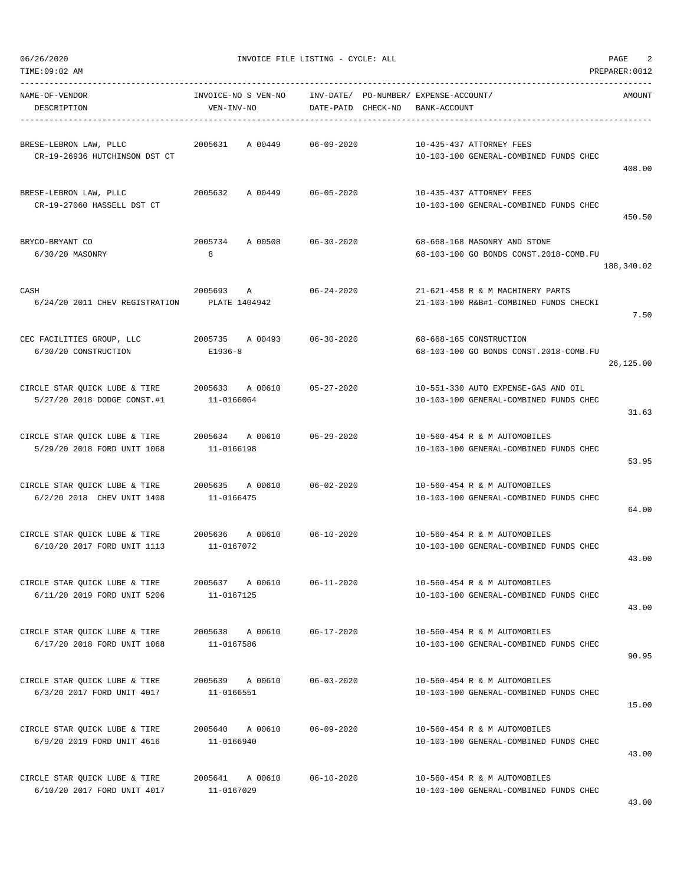| NAME-OF-VENDOR<br>DESCRIPTION                                                  | INVOICE-NO S VEN-NO<br>VEN-INV-NO        | INV-DATE/ PO-NUMBER/ EXPENSE-ACCOUNT/<br>DATE-PAID CHECK-NO | BANK-ACCOUNT                                                                  | AMOUNT     |
|--------------------------------------------------------------------------------|------------------------------------------|-------------------------------------------------------------|-------------------------------------------------------------------------------|------------|
| BRESE-LEBRON LAW, PLLC<br>CR-19-26936 HUTCHINSON DST CT                        | 2005631<br>A 00449 06-09-2020            |                                                             | 10-435-437 ATTORNEY FEES<br>10-103-100 GENERAL-COMBINED FUNDS CHEC            | 408.00     |
| BRESE-LEBRON LAW, PLLC<br>CR-19-27060 HASSELL DST CT                           | 2005632<br>A 00449 06-05-2020            |                                                             | 10-435-437 ATTORNEY FEES<br>10-103-100 GENERAL-COMBINED FUNDS CHEC            | 450.50     |
| BRYCO-BRYANT CO<br>6/30/20 MASONRY                                             | 2005734 A 00508<br>8                     | $06 - 30 - 2020$                                            | 68-668-168 MASONRY AND STONE<br>68-103-100 GO BONDS CONST.2018-COMB.FU        | 188,340.02 |
| CASH<br>6/24/20 2011 CHEV REGISTRATION                                         | 2005693 A<br>PLATE 1404942               | $06 - 24 - 2020$                                            | 21-621-458 R & M MACHINERY PARTS<br>21-103-100 R&B#1-COMBINED FUNDS CHECKI    | 7.50       |
| CEC FACILITIES GROUP, LLC<br>6/30/20 CONSTRUCTION                              | 2005735 A 00493 06-30-2020<br>E1936-8    |                                                             | 68-668-165 CONSTRUCTION<br>68-103-100 GO BONDS CONST. 2018-COMB.FU            | 26,125.00  |
| CIRCLE STAR QUICK LUBE & TIRE $2005633$ A 00610<br>5/27/20 2018 DODGE CONST.#1 | 11-0166064                               | $05 - 27 - 2020$                                            | 10-551-330 AUTO EXPENSE-GAS AND OIL<br>10-103-100 GENERAL-COMBINED FUNDS CHEC | 31.63      |
| CIRCLE STAR QUICK LUBE & TIRE<br>5/29/20 2018 FORD UNIT 1068                   | 2005634 A 00610 05-29-2020<br>11-0166198 |                                                             | 10-560-454 R & M AUTOMOBILES<br>10-103-100 GENERAL-COMBINED FUNDS CHEC        | 53.95      |
| CIRCLE STAR QUICK LUBE & TIRE<br>6/2/20 2018 CHEV UNIT 1408                    | 2005635 A 00610<br>11-0166475            | $06 - 02 - 2020$                                            | 10-560-454 R & M AUTOMOBILES<br>10-103-100 GENERAL-COMBINED FUNDS CHEC        | 64.00      |
| CIRCLE STAR QUICK LUBE & TIRE 2005636 A 00610<br>6/10/20 2017 FORD UNIT 1113   | 11-0167072                               | $06 - 10 - 2020$                                            | 10-560-454 R & M AUTOMOBILES<br>10-103-100 GENERAL-COMBINED FUNDS CHEC        | 43.00      |
| CIRCLE STAR QUICK LUBE & TIRE<br>6/11/20 2019 FORD UNIT 5206                   | 2005637<br>A 00610<br>11-0167125         | $06 - 11 - 2020$                                            | 10-560-454 R & M AUTOMOBILES<br>10-103-100 GENERAL-COMBINED FUNDS CHEC        | 43.00      |
| CIRCLE STAR QUICK LUBE & TIRE<br>6/17/20 2018 FORD UNIT 1068                   | 2005638 A 00610<br>11-0167586            | $06 - 17 - 2020$                                            | 10-560-454 R & M AUTOMOBILES<br>10-103-100 GENERAL-COMBINED FUNDS CHEC        | 90.95      |
| CIRCLE STAR QUICK LUBE & TIRE<br>6/3/20 2017 FORD UNIT 4017                    | 2005639 A 00610<br>11-0166551            | $06 - 03 - 2020$                                            | 10-560-454 R & M AUTOMOBILES<br>10-103-100 GENERAL-COMBINED FUNDS CHEC        | 15.00      |
| CIRCLE STAR QUICK LUBE & TIRE<br>6/9/20 2019 FORD UNIT 4616                    | 2005640<br>A 00610<br>11-0166940         | $06 - 09 - 2020$                                            | 10-560-454 R & M AUTOMOBILES<br>10-103-100 GENERAL-COMBINED FUNDS CHEC        | 43.00      |
| CIRCLE STAR QUICK LUBE & TIRE<br>6/10/20 2017 FORD UNIT 4017                   | 2005641<br>A 00610<br>11-0167029         | $06 - 10 - 2020$                                            | 10-560-454 R & M AUTOMOBILES<br>10-103-100 GENERAL-COMBINED FUNDS CHEC        |            |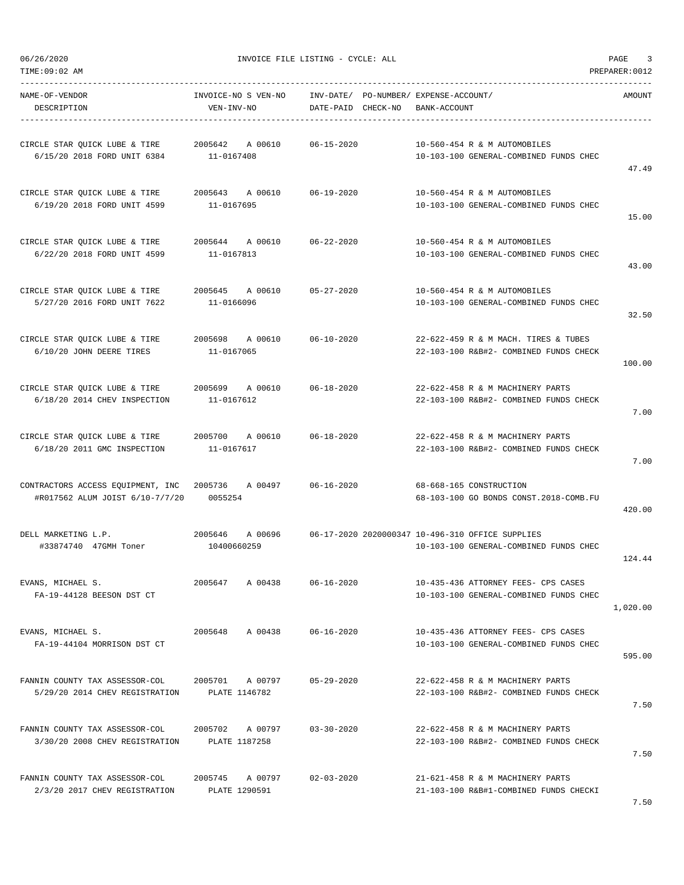TIME:09:02 AM PREPARER:0012

----------------------------------------------------------------------------------------------------------------------------------- NAME-OF-VENDOR INVOICE-NO S VEN-NO INV-DATE/ PO-NUMBER/ EXPENSE-ACCOUNT/ AMOUNT DESCRIPTION VEN-INV-NO DATE-PAID CHECK-NO BANK-ACCOUNT ----------------------------------------------------------------------------------------------------------------------------------- CIRCLE STAR QUICK LUBE & TIRE 2005642 A 00610 06-15-2020 10-560-454 R & M AUTOMOBILES 6/15/20 2018 FORD UNIT 6384 11-0167408 10-103-100 GENERAL-COMBINED FUNDS CHEC 47.49 CIRCLE STAR QUICK LUBE & TIRE 2005643 A 00610 06-19-2020 10-560-454 R & M AUTOMOBILES 6/19/20 2018 FORD UNIT 4599 11-0167695 10-103-100 GENERAL-COMBINED FUNDS CHEC 15.00 CIRCLE STAR QUICK LUBE & TIRE 2005644 A 00610 06-22-2020 10-560-454 R & M AUTOMOBILES 6/22/20 2018 FORD UNIT 4599 11-0167813 10-103-100 GENERAL-COMBINED FUNDS CHEC 43.00 CIRCLE STAR QUICK LUBE & TIRE 2005645 A 00610 05-27-2020 10-560-454 R & M AUTOMOBILES 5/27/20 2016 FORD UNIT 7622 11-0166096 10-103-100 GENERAL-COMBINED FUNDS CHEC 32.50 CIRCLE STAR QUICK LUBE & TIRE 2005698 A 00610 06-10-2020 22-622-459 R & M MACH. TIRES & TUBES 6/10/20 JOHN DEERE TIRES 11-0167065 22-103-100 R&B#2- COMBINED FUNDS CHECK 100.00 CIRCLE STAR QUICK LUBE & TIRE 2005699 A 00610 06-18-2020 22-622-458 R & M MACHINERY PARTS 6/18/20 2014 CHEV INSPECTION 11-0167612 22-103-100 R&B#2- COMBINED FUNDS CHECK 7.00 CIRCLE STAR QUICK LUBE & TIRE 2005700 A 00610 06-18-2020 22-622-458 R & M MACHINERY PARTS 6/18/20 2011 GMC INSPECTION 11-0167617 22-103-100 R&B#2- COMBINED FUNDS CHECK 7.00 CONTRACTORS ACCESS EQUIPMENT, INC 2005736 A 00497 06-16-2020 68-668-165 CONSTRUCTION #R017562 ALUM JOIST 6/10-7/7/20 0055254 68-103-100 GO BONDS CONST.2018-COMB.FU 420.00 DELL MARKETING L.P. 2005646 A 00696 06-17-2020 2020000347 10-496-310 OFFICE SUPPLIES #33874740 47GMH Toner 10400660259 10-103-100 GENERAL-COMBINED FUNDS CHEC 124.44 EVANS, MICHAEL S. 2005647 A 00438 06-16-2020 10-435-436 ATTORNEY FEES- CPS CASES FA-19-44128 BEESON DST CT 10-103-100 GENERAL-COMBINED FUNDS CHEC 1,020.00 EVANS, MICHAEL S. 2005648 A 00438 06-16-2020 10-435-436 ATTORNEY FEES- CPS CASES FA-19-44104 MORRISON DST CT 10-103-100 GENERAL-COMBINED FUNDS CHEC 595.00 FANNIN COUNTY TAX ASSESSOR-COL 2005701 A 00797 05-29-2020 22-622-458 R & M MACHINERY PARTS 5/29/20 2014 CHEV REGISTRATION PLATE 1146782 22-103-100 R&B#2- COMBINED FUNDS CHECK 7.50 FANNIN COUNTY TAX ASSESSOR-COL 2005702 A 00797 03-30-2020 22-622-458 R & M MACHINERY PARTS 3/30/20 2008 CHEV REGISTRATION PLATE 1187258 22-103-100 R&B#2- COMBINED FUNDS CHECK 7.50 FANNIN COUNTY TAX ASSESSOR-COL 2005745 A 00797 02-03-2020 21-621-458 R & M MACHINERY PARTS 2/3/20 2017 CHEV REGISTRATION PLATE 1290591 21-103-100 R&B#1-COMBINED FUNDS CHECKI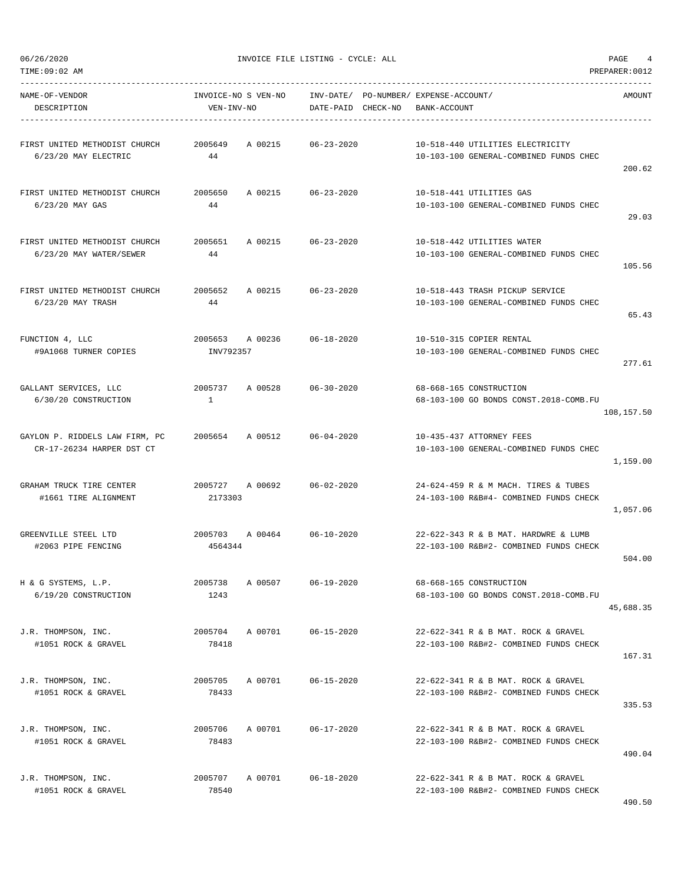| AMOUNT     | INV-DATE/ PO-NUMBER/ EXPENSE-ACCOUNT/<br>BANK-ACCOUNT                          | DATE-PAID CHECK-NO         |                 | INVOICE-NO S VEN-NO<br>VEN-INV-NO | NAME-OF-VENDOR<br>DESCRIPTION                                                             |
|------------|--------------------------------------------------------------------------------|----------------------------|-----------------|-----------------------------------|-------------------------------------------------------------------------------------------|
| 200.62     | 10-518-440 UTILITIES ELECTRICITY<br>10-103-100 GENERAL-COMBINED FUNDS CHEC     | 06-23-2020                 | A 00215         | 2005649<br>44                     | FIRST UNITED METHODIST CHURCH<br>6/23/20 MAY ELECTRIC                                     |
| 29.03      | 10-518-441 UTILITIES GAS<br>10-103-100 GENERAL-COMBINED FUNDS CHEC             | A 00215 06-23-2020         |                 | 2005650<br>44                     | FIRST UNITED METHODIST CHURCH<br>6/23/20 MAY GAS                                          |
| 105.56     | 10-518-442 UTILITIES WATER<br>10-103-100 GENERAL-COMBINED FUNDS CHEC           | A 00215 06-23-2020         |                 | 2005651<br>44                     | FIRST UNITED METHODIST CHURCH<br>6/23/20 MAY WATER/SEWER                                  |
| 65.43      | 10-518-443 TRASH PICKUP SERVICE<br>10-103-100 GENERAL-COMBINED FUNDS CHEC      | 06-23-2020                 |                 | 2005652 A 00215<br>44             | FIRST UNITED METHODIST CHURCH<br>6/23/20 MAY TRASH                                        |
| 277.61     | 10-510-315 COPIER RENTAL<br>10-103-100 GENERAL-COMBINED FUNDS CHEC             | 2005653 A 00236 06-18-2020 |                 | INV792357                         | FUNCTION 4, LLC<br>#9A1068 TURNER COPIES                                                  |
| 108,157.50 | 68-668-165 CONSTRUCTION<br>68-103-100 GO BONDS CONST.2018-COMB.FU              | 2005737 A 00528 06-30-2020 |                 | $\mathbf{1}$                      | GALLANT SERVICES, LLC<br>6/30/20 CONSTRUCTION                                             |
| 1,159.00   | 10-435-437 ATTORNEY FEES<br>10-103-100 GENERAL-COMBINED FUNDS CHEC             | 06-04-2020                 |                 |                                   | GAYLON P. RIDDELS LAW FIRM, PC          2005654      A 00512<br>CR-17-26234 HARPER DST CT |
| 1,057.06   | 24-624-459 R & M MACH. TIRES & TUBES<br>24-103-100 R&B#4- COMBINED FUNDS CHECK | 06-02-2020                 | 2005727 A 00692 | 2173303                           | GRAHAM TRUCK TIRE CENTER<br>#1661 TIRE ALIGNMENT                                          |
| 504.00     | 22-622-343 R & B MAT. HARDWRE & LUMB<br>22-103-100 R&B#2- COMBINED FUNDS CHECK | 2005703 A 00464 06-10-2020 |                 | 4564344                           | GREENVILLE STEEL LTD<br>#2063 PIPE FENCING                                                |
| 45,688.35  | 68-668-165 CONSTRUCTION<br>68-103-100 GO BONDS CONST. 2018-COMB.FU             | $06 - 19 - 2020$           | A 00507         | 2005738<br>1243                   | H & G SYSTEMS, L.P.<br>6/19/20 CONSTRUCTION                                               |
| 167.31     | 22-622-341 R & B MAT. ROCK & GRAVEL<br>22-103-100 R&B#2- COMBINED FUNDS CHECK  | 06-15-2020                 | A 00701         | 2005704<br>78418                  | J.R. THOMPSON, INC.<br>#1051 ROCK & GRAVEL                                                |
| 335.53     | 22-622-341 R & B MAT. ROCK & GRAVEL<br>22-103-100 R&B#2- COMBINED FUNDS CHECK  | $06 - 15 - 2020$           | A 00701         | 2005705<br>78433                  | J.R. THOMPSON, INC.<br>#1051 ROCK & GRAVEL                                                |
| 490.04     | 22-622-341 R & B MAT. ROCK & GRAVEL<br>22-103-100 R&B#2- COMBINED FUNDS CHECK  | $06 - 17 - 2020$           | A 00701         | 2005706<br>78483                  | J.R. THOMPSON, INC.<br>#1051 ROCK & GRAVEL                                                |
|            | 22-622-341 R & B MAT. ROCK & GRAVEL<br>22-103-100 R&B#2- COMBINED FUNDS CHECK  | $06 - 18 - 2020$           | A 00701         | 2005707<br>78540                  | J.R. THOMPSON, INC.<br>#1051 ROCK & GRAVEL                                                |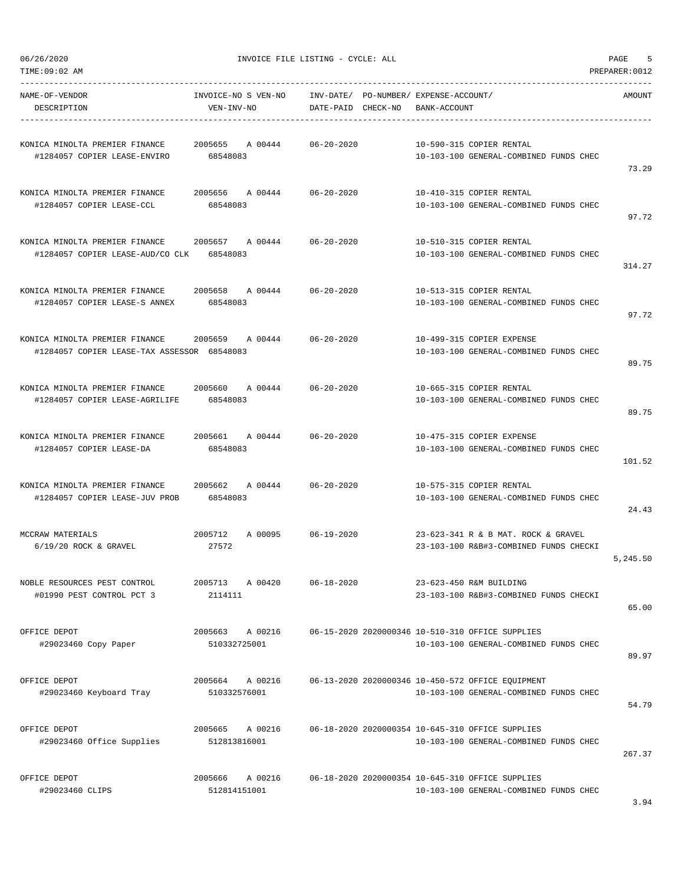| TIME:09:02 AM                                                                 |                                    |                                    |                                                                                             | PREPARER: 0012 |
|-------------------------------------------------------------------------------|------------------------------------|------------------------------------|---------------------------------------------------------------------------------------------|----------------|
| NAME-OF-VENDOR<br>DESCRIPTION                                                 | INVOICE-NO S VEN-NO<br>VEN-INV-NO  | INV-DATE/<br>DATE-PAID<br>CHECK-NO | PO-NUMBER / EXPENSE-ACCOUNT /<br>BANK-ACCOUNT                                               | AMOUNT         |
| KONICA MINOLTA PREMIER FINANCE<br>#1284057 COPIER LEASE-ENVIRO                | 2005655<br>A 00444<br>68548083     | $06 - 20 - 2020$                   | 10-590-315 COPIER RENTAL<br>10-103-100 GENERAL-COMBINED FUNDS CHEC                          | 73.29          |
| KONICA MINOLTA PREMIER FINANCE<br>#1284057 COPIER LEASE-CCL                   | 2005656<br>A 00444<br>68548083     | $06 - 20 - 2020$                   | 10-410-315 COPIER RENTAL<br>10-103-100 GENERAL-COMBINED FUNDS CHEC                          | 97.72          |
| KONICA MINOLTA PREMIER FINANCE<br>#1284057 COPIER LEASE-AUD/CO CLK            | 2005657<br>A 00444<br>68548083     | $06 - 20 - 2020$                   | 10-510-315 COPIER RENTAL<br>10-103-100 GENERAL-COMBINED FUNDS CHEC                          | 314.27         |
| KONICA MINOLTA PREMIER FINANCE<br>#1284057 COPIER LEASE-S ANNEX               | 2005658<br>A 00444<br>68548083     | $06 - 20 - 2020$                   | 10-513-315 COPIER RENTAL<br>10-103-100 GENERAL-COMBINED FUNDS CHEC                          | 97.72          |
| KONICA MINOLTA PREMIER FINANCE<br>#1284057 COPIER LEASE-TAX ASSESSOR 68548083 | 2005659<br>A 00444                 | $06 - 20 - 2020$                   | 10-499-315 COPIER EXPENSE<br>10-103-100 GENERAL-COMBINED FUNDS CHEC                         | 89.75          |
| KONICA MINOLTA PREMIER FINANCE<br>#1284057 COPIER LEASE-AGRILIFE              | 2005660<br>A 00444<br>68548083     | $06 - 20 - 2020$                   | 10-665-315 COPIER RENTAL<br>10-103-100 GENERAL-COMBINED FUNDS CHEC                          | 89.75          |
| KONICA MINOLTA PREMIER FINANCE<br>#1284057 COPIER LEASE-DA                    | 2005661<br>A 00444<br>68548083     | $06 - 20 - 2020$                   | 10-475-315 COPIER EXPENSE<br>10-103-100 GENERAL-COMBINED FUNDS CHEC                         | 101.52         |
| KONICA MINOLTA PREMIER FINANCE<br>#1284057 COPIER LEASE-JUV PROB              | 2005662<br>A 00444<br>68548083     | $06 - 20 - 2020$                   | 10-575-315 COPIER RENTAL<br>10-103-100 GENERAL-COMBINED FUNDS CHEC                          | 24.43          |
| MCCRAW MATERIALS<br>$6/19/20$ ROCK & GRAVEL                                   | 2005712<br>A 00095<br>27572        | $06 - 19 - 2020$                   | 23-623-341 R & B MAT. ROCK & GRAVEL<br>23-103-100 R&B#3-COMBINED FUNDS CHECKI               | 5,245.50       |
| NOBLE RESOURCES PEST CONTROL<br>#01990 PEST CONTROL PCT 3                     | 2005713<br>A 00420<br>2114111      | $06 - 18 - 2020$                   | 23-623-450 R&M BUILDING<br>23-103-100 R&B#3-COMBINED FUNDS CHECKI                           | 65.00          |
| OFFICE DEPOT<br>#29023460 Copy Paper                                          | 2005663<br>A 00216<br>510332725001 |                                    | 06-15-2020 2020000346 10-510-310 OFFICE SUPPLIES<br>10-103-100 GENERAL-COMBINED FUNDS CHEC  | 89.97          |
| OFFICE DEPOT<br>#29023460 Keyboard Tray                                       | A 00216<br>2005664<br>510332576001 |                                    | 06-13-2020 2020000346 10-450-572 OFFICE EQUIPMENT<br>10-103-100 GENERAL-COMBINED FUNDS CHEC | 54.79          |
| OFFICE DEPOT<br>#29023460 Office Supplies                                     | 2005665<br>A 00216<br>512813816001 |                                    | 06-18-2020 2020000354 10-645-310 OFFICE SUPPLIES<br>10-103-100 GENERAL-COMBINED FUNDS CHEC  | 267.37         |
| OFFICE DEPOT<br>#29023460 CLIPS                                               | 2005666<br>A 00216<br>512814151001 |                                    | 06-18-2020 2020000354 10-645-310 OFFICE SUPPLIES<br>10-103-100 GENERAL-COMBINED FUNDS CHEC  |                |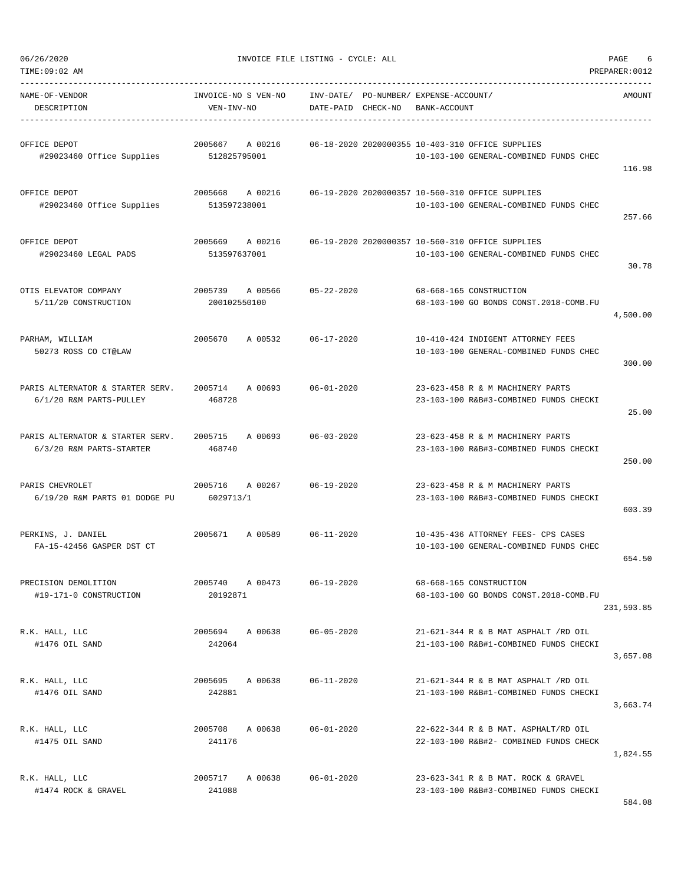| TIME:09:02 AM | PREPARER | :0012 |
|---------------|----------|-------|
| ___           |          |       |

| NAME-OF-VENDOR<br>DESCRIPTION                                | INVOICE-NO S VEN-NO<br>VEN-INV-NO  | INV-DATE/ PO-NUMBER/ EXPENSE-ACCOUNT/<br>CHECK-NO<br>BANK-ACCOUNT<br>DATE-PAID |                                                                                            | <b>AMOUNT</b> |
|--------------------------------------------------------------|------------------------------------|--------------------------------------------------------------------------------|--------------------------------------------------------------------------------------------|---------------|
| OFFICE DEPOT<br>#29023460 Office Supplies                    | 2005667<br>A 00216<br>512825795001 |                                                                                | 06-18-2020 2020000355 10-403-310 OFFICE SUPPLIES<br>10-103-100 GENERAL-COMBINED FUNDS CHEC | 116.98        |
| OFFICE DEPOT<br>#29023460 Office Supplies                    | 2005668<br>A 00216<br>513597238001 |                                                                                | 06-19-2020 2020000357 10-560-310 OFFICE SUPPLIES<br>10-103-100 GENERAL-COMBINED FUNDS CHEC | 257.66        |
| OFFICE DEPOT<br>#29023460 LEGAL PADS                         | 2005669<br>A 00216<br>513597637001 |                                                                                | 06-19-2020 2020000357 10-560-310 OFFICE SUPPLIES<br>10-103-100 GENERAL-COMBINED FUNDS CHEC | 30.78         |
| OTIS ELEVATOR COMPANY<br>5/11/20 CONSTRUCTION                | 2005739<br>A 00566<br>200102550100 | $05 - 22 - 2020$                                                               | 68-668-165 CONSTRUCTION<br>68-103-100 GO BONDS CONST.2018-COMB.FU                          | 4,500.00      |
| PARHAM, WILLIAM<br>50273 ROSS CO CT@LAW                      | A 00532<br>2005670                 | $06 - 17 - 2020$                                                               | 10-410-424 INDIGENT ATTORNEY FEES<br>10-103-100 GENERAL-COMBINED FUNDS CHEC                | 300.00        |
| PARIS ALTERNATOR & STARTER SERV.<br>6/1/20 R&M PARTS-PULLEY  | 2005714<br>A 00693<br>468728       | $06 - 01 - 2020$                                                               | 23-623-458 R & M MACHINERY PARTS<br>23-103-100 R&B#3-COMBINED FUNDS CHECKI                 | 25.00         |
| PARIS ALTERNATOR & STARTER SERV.<br>6/3/20 R&M PARTS-STARTER | 2005715<br>A 00693<br>468740       | $06 - 03 - 2020$                                                               | 23-623-458 R & M MACHINERY PARTS<br>23-103-100 R&B#3-COMBINED FUNDS CHECKI                 | 250.00        |
| PARIS CHEVROLET<br>6/19/20 R&M PARTS 01 DODGE PU             | 2005716<br>A 00267<br>6029713/1    | $06 - 19 - 2020$                                                               | 23-623-458 R & M MACHINERY PARTS<br>23-103-100 R&B#3-COMBINED FUNDS CHECKI                 | 603.39        |
| PERKINS, J. DANIEL<br>FA-15-42456 GASPER DST CT              | 2005671<br>A 00589                 | $06 - 11 - 2020$                                                               | 10-435-436 ATTORNEY FEES- CPS CASES<br>10-103-100 GENERAL-COMBINED FUNDS CHEC              | 654.50        |
| PRECISION DEMOLITION<br>#19-171-0 CONSTRUCTION               | 2005740<br>A 00473<br>20192871     | $06 - 19 - 2020$                                                               | 68-668-165 CONSTRUCTION<br>68-103-100 GO BONDS CONST.2018-COMB.FU                          | 231,593.85    |
| R.K. HALL, LLC<br>#1476 OIL SAND                             | 2005694 A 00638<br>242064          | $06 - 05 - 2020$                                                               | 21-621-344 R & B MAT ASPHALT /RD OIL<br>21-103-100 R&B#1-COMBINED FUNDS CHECKI             | 3,657.08      |
| R.K. HALL, LLC<br>#1476 OIL SAND                             | 2005695 A 00638<br>242881          | 06-11-2020                                                                     | 21-621-344 R & B MAT ASPHALT /RD OIL<br>21-103-100 R&B#1-COMBINED FUNDS CHECKI             | 3,663.74      |
| R.K. HALL, LLC<br>#1475 OIL SAND                             | 2005708 A 00638<br>241176          | $06 - 01 - 2020$                                                               | 22-622-344 R & B MAT. ASPHALT/RD OIL<br>22-103-100 R&B#2- COMBINED FUNDS CHECK             | 1,824.55      |
| R.K. HALL, LLC<br>#1474 ROCK & GRAVEL                        | 2005717<br>A 00638<br>241088       | $06 - 01 - 2020$                                                               | 23-623-341 R & B MAT. ROCK & GRAVEL<br>23-103-100 R&B#3-COMBINED FUNDS CHECKI              | 584.08        |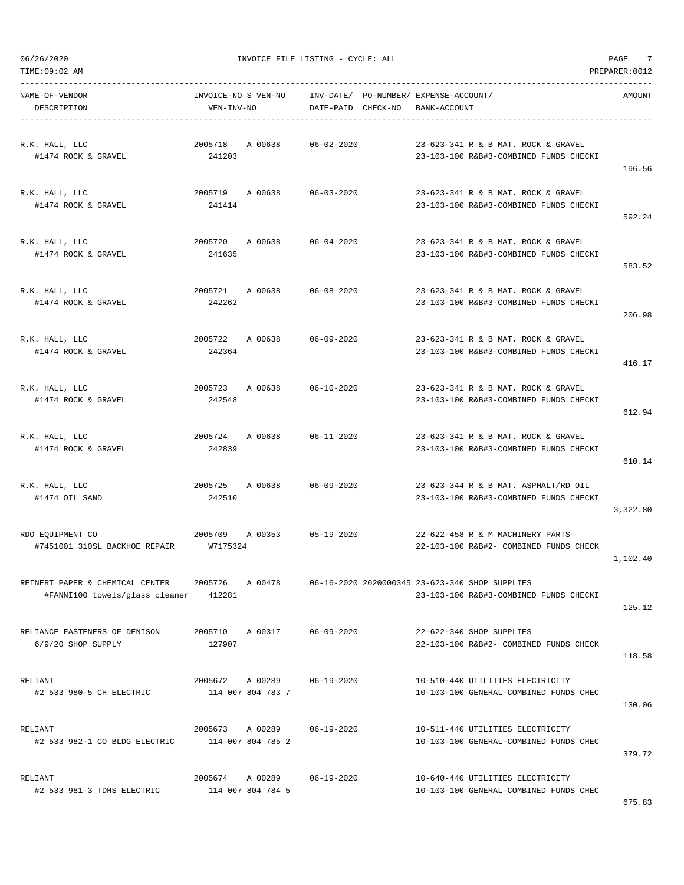TIME:09:02 AM PREPARER:0012

 $06/26/2020$  PAGE  $7$ 

| NAME-OF-VENDOR<br>DESCRIPTION                                                              | VEN-INV-NO                           | INVOICE-NO S VEN-NO     INV-DATE/ PO-NUMBER/ EXPENSE-ACCOUNT/ | DATE-PAID CHECK-NO | BANK-ACCOUNT |                                                                                          | AMOUNT   |
|--------------------------------------------------------------------------------------------|--------------------------------------|---------------------------------------------------------------|--------------------|--------------|------------------------------------------------------------------------------------------|----------|
| R.K. HALL, LLC<br>#1474 ROCK & GRAVEL                                                      | 241203                               | 2005718 A 00638 06-02-2020                                    |                    |              | 23-623-341 R & B MAT. ROCK & GRAVEL<br>23-103-100 R&B#3-COMBINED FUNDS CHECKI            | 196.56   |
| R.K. HALL, LLC<br>#1474 ROCK & GRAVEL                                                      | 241414                               | 2005719 A 00638 06-03-2020                                    |                    |              | 23-623-341 R & B MAT. ROCK & GRAVEL<br>23-103-100 R&B#3-COMBINED FUNDS CHECKI            | 592.24   |
| R.K. HALL, LLC<br>#1474 ROCK & GRAVEL                                                      | 241635                               | 2005720 A 00638 06-04-2020                                    |                    |              | 23-623-341 R & B MAT. ROCK & GRAVEL<br>23-103-100 R&B#3-COMBINED FUNDS CHECKI            | 583.52   |
| R.K. HALL, LLC<br>#1474 ROCK & GRAVEL                                                      | 242262                               | 2005721 A 00638 06-08-2020                                    |                    |              | 23-623-341 R & B MAT. ROCK & GRAVEL<br>23-103-100 R&B#3-COMBINED FUNDS CHECKI            | 206.98   |
| R.K. HALL, LLC<br>#1474 ROCK & GRAVEL                                                      | 242364                               | 2005722 A 00638 06-09-2020                                    |                    |              | 23-623-341 R & B MAT. ROCK & GRAVEL<br>23-103-100 R&B#3-COMBINED FUNDS CHECKI            | 416.17   |
| R.K. HALL, LLC<br>#1474 ROCK & GRAVEL                                                      | 242548                               | 2005723 A 00638 06-10-2020                                    |                    |              | 23-623-341 R & B MAT. ROCK & GRAVEL<br>23-103-100 R&B#3-COMBINED FUNDS CHECKI            | 612.94   |
| R.K. HALL, LLC<br>#1474 ROCK & GRAVEL                                                      | 242839                               | 2005724 A 00638 06-11-2020                                    |                    |              | 23-623-341 R & B MAT. ROCK & GRAVEL<br>23-103-100 R&B#3-COMBINED FUNDS CHECKI            | 610.14   |
| R.K. HALL, LLC<br>#1474 OIL SAND                                                           | 242510                               | 2005725 A 00638 06-09-2020                                    |                    |              | 23-623-344 R & B MAT. ASPHALT/RD OIL<br>23-103-100 R&B#3-COMBINED FUNDS CHECKI           | 3,322.80 |
| RDO EQUIPMENT CO<br>$2005709$ A 00353 05-19-2020<br>#7451001 310SL BACKHOE REPAIR W7175324 |                                      |                                                               |                    |              | 22-622-458 R & M MACHINERY PARTS<br>22-103-100 R&B#2- COMBINED FUNDS CHECK               | 1,102.40 |
| REINERT PAPER & CHEMICAL CENTER<br>#FANNI100 towels/glass cleaner 412281                   | 2005726                              | A 00478                                                       |                    |              | 06-16-2020 2020000345 23-623-340 SHOP SUPPLIES<br>23-103-100 R&B#3-COMBINED FUNDS CHECKI | 125.12   |
| RELIANCE FASTENERS OF DENISON<br>6/9/20 SHOP SUPPLY                                        | 2005710 A 00317<br>127907            |                                                               | 06-09-2020         |              | 22-622-340 SHOP SUPPLIES<br>22-103-100 R&B#2- COMBINED FUNDS CHECK                       | 118.58   |
| RELIANT<br>#2 533 980-5 CH ELECTRIC                                                        | 2005672 A 00289                      | 114 007 804 783 7                                             | 06-19-2020         |              | 10-510-440 UTILITIES ELECTRICITY<br>10-103-100 GENERAL-COMBINED FUNDS CHEC               | 130.06   |
| RELIANT<br>#2 533 982-1 CO BLDG ELECTRIC                                                   | 2005673 A 00289<br>114 007 804 785 2 |                                                               | 06-19-2020         |              | 10-511-440 UTILITIES ELECTRICITY<br>10-103-100 GENERAL-COMBINED FUNDS CHEC               | 379.72   |
| RELIANT<br>#2 533 981-3 TDHS ELECTRIC                                                      | 2005674 A 00289                      | 114 007 804 784 5                                             | 06-19-2020         |              | 10-640-440 UTILITIES ELECTRICITY<br>10-103-100 GENERAL-COMBINED FUNDS CHEC               |          |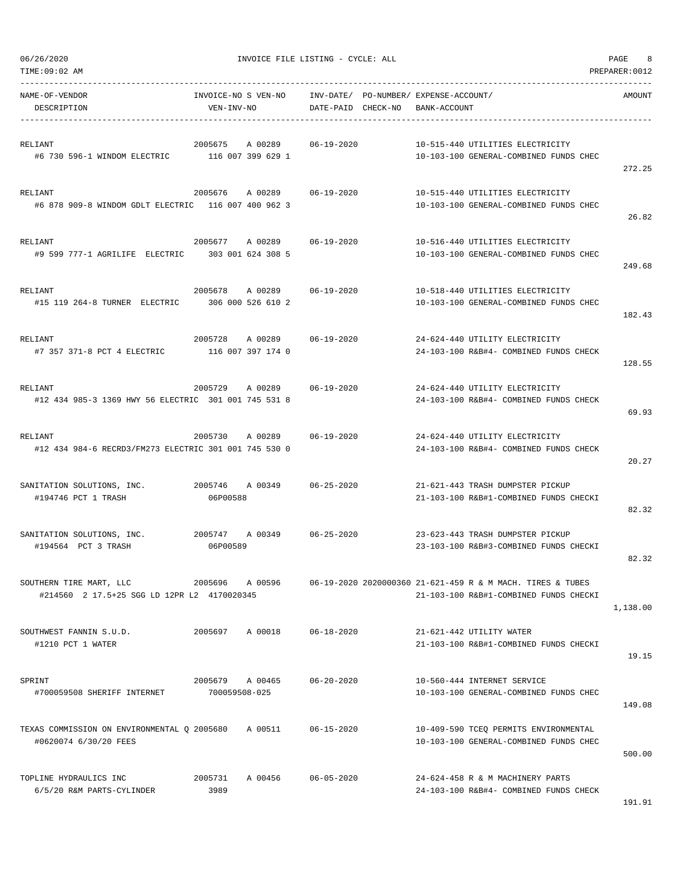| TIME:09:02 AM                                                                |                                   |                              |                        |          |                                             |                                                                                                      | PREPARER: 0012 |
|------------------------------------------------------------------------------|-----------------------------------|------------------------------|------------------------|----------|---------------------------------------------|------------------------------------------------------------------------------------------------------|----------------|
| NAME-OF-VENDOR<br>DESCRIPTION                                                | INVOICE-NO S VEN-NO<br>VEN-INV-NO |                              | INV-DATE/<br>DATE-PAID | CHECK-NO | PO-NUMBER/ EXPENSE-ACCOUNT/<br>BANK-ACCOUNT |                                                                                                      | AMOUNT         |
| RELIANT<br>#6 730 596-1 WINDOM ELECTRIC 116 007 399 629 1                    | 2005675                           | A 00289                      | $06 - 19 - 2020$       |          |                                             | 10-515-440 UTILITIES ELECTRICITY<br>10-103-100 GENERAL-COMBINED FUNDS CHEC                           | 272.25         |
| RELIANT<br>#6 878 909-8 WINDOM GDLT ELECTRIC 116 007 400 962 3               | 2005676                           | A 00289                      | 06-19-2020             |          |                                             | 10-515-440 UTILITIES ELECTRICITY<br>10-103-100 GENERAL-COMBINED FUNDS CHEC                           | 26.82          |
| RELIANT<br>#9 599 777-1 AGRILIFE ELECTRIC                                    | 2005677<br>303 001 624 308 5      | A 00289                      | $06 - 19 - 2020$       |          |                                             | 10-516-440 UTILITIES ELECTRICITY<br>10-103-100 GENERAL-COMBINED FUNDS CHEC                           | 249.68         |
| RELIANT<br>#15 119 264-8 TURNER ELECTRIC                                     | 2005678                           | A 00289<br>306 000 526 610 2 | $06 - 19 - 2020$       |          |                                             | 10-518-440 UTILITIES ELECTRICITY<br>10-103-100 GENERAL-COMBINED FUNDS CHEC                           | 182.43         |
| RELIANT<br>#7 357 371-8 PCT 4 ELECTRIC                                       | 2005728                           | A 00289<br>116 007 397 174 0 | 06-19-2020             |          |                                             | 24-624-440 UTILITY ELECTRICITY<br>24-103-100 R&B#4- COMBINED FUNDS CHECK                             | 128.55         |
| RELIANT<br>#12 434 985-3 1369 HWY 56 ELECTRIC 301 001 745 531 8              | 2005729                           | A 00289                      | 06-19-2020             |          |                                             | 24-624-440 UTILITY ELECTRICITY<br>24-103-100 R&B#4- COMBINED FUNDS CHECK                             | 69.93          |
| RELIANT<br>#12 434 984-6 RECRD3/FM273 ELECTRIC 301 001 745 530 0             | 2005730                           | A 00289                      | $06 - 19 - 2020$       |          |                                             | 24-624-440 UTILITY ELECTRICITY<br>24-103-100 R&B#4- COMBINED FUNDS CHECK                             | 20.27          |
| SANITATION SOLUTIONS, INC.<br>#194746 PCT 1 TRASH                            | 2005746<br>06P00588               | A 00349                      | $06 - 25 - 2020$       |          |                                             | 21-621-443 TRASH DUMPSTER PICKUP<br>21-103-100 R&B#1-COMBINED FUNDS CHECKI                           | 82.32          |
| SANITATION SOLUTIONS, INC.<br>#194564 PCT 3 TRASH                            | 2005747<br>06P00589               | A 00349                      | $06 - 25 - 2020$       |          |                                             | 23-623-443 TRASH DUMPSTER PICKUP<br>23-103-100 R&B#3-COMBINED FUNDS CHECKI                           | 82.32          |
| SOUTHERN TIRE MART, LLC<br>#214560 2 17.5+25 SGG LD 12PR L2 4170020345       | 2005696                           | A 00596                      |                        |          |                                             | 06-19-2020 2020000360 21-621-459 R & M MACH. TIRES & TUBES<br>21-103-100 R&B#1-COMBINED FUNDS CHECKI | 1,138.00       |
| SOUTHWEST FANNIN S.U.D.<br>#1210 PCT 1 WATER                                 | 2005697                           | A 00018                      | 06-18-2020             |          |                                             | 21-621-442 UTILITY WATER<br>21-103-100 R&B#1-COMBINED FUNDS CHECKI                                   | 19.15          |
| SPRINT<br>#700059508 SHERIFF INTERNET                                        | 2005679 A 00465<br>700059508-025  |                              | 06-20-2020             |          |                                             | 10-560-444 INTERNET SERVICE<br>10-103-100 GENERAL-COMBINED FUNDS CHEC                                | 149.08         |
| TEXAS COMMISSION ON ENVIRONMENTAL Q 2005680 A 00511<br>#0620074 6/30/20 FEES |                                   |                              | 06-15-2020             |          |                                             | 10-409-590 TCEQ PERMITS ENVIRONMENTAL<br>10-103-100 GENERAL-COMBINED FUNDS CHEC                      | 500.00         |
| TOPLINE HYDRAULICS INC<br>6/5/20 R&M PARTS-CYLINDER                          | 2005731<br>3989                   | A 00456 06-05-2020           |                        |          |                                             | 24-624-458 R & M MACHINERY PARTS<br>24-103-100 R&B#4- COMBINED FUNDS CHECK                           | 191.91         |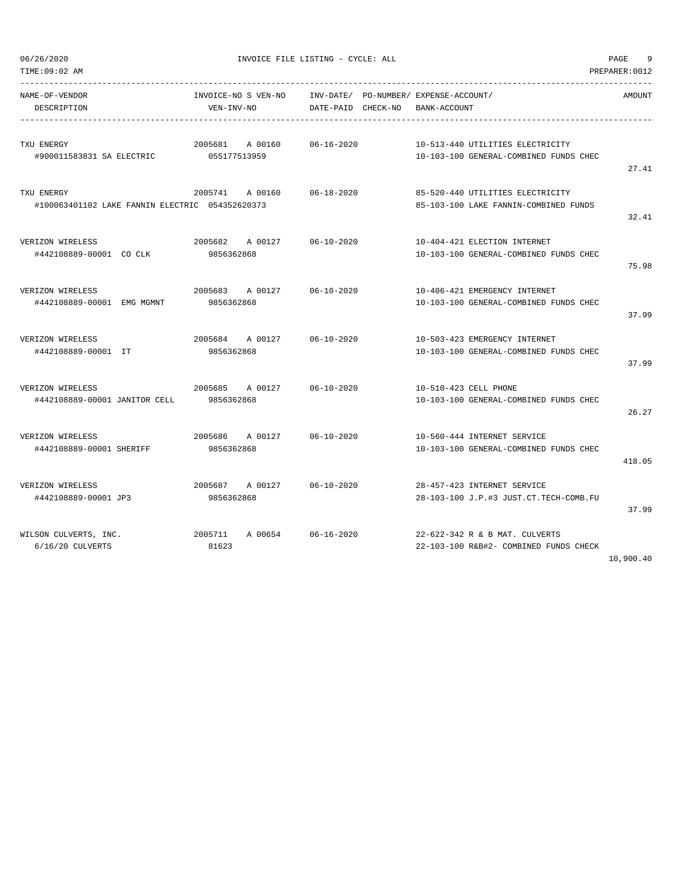| TIME:09:02 AM                                                 |                                                                         |                                 |                                                                            | PREPARER: 0012 |
|---------------------------------------------------------------|-------------------------------------------------------------------------|---------------------------------|----------------------------------------------------------------------------|----------------|
| NAME-OF-VENDOR<br>DESCRIPTION                                 | INVOICE-NO S VEN-NO INV-DATE/ PO-NUMBER/ EXPENSE-ACCOUNT/<br>VEN-INV-NO | DATE-PAID CHECK-NO BANK-ACCOUNT |                                                                            | AMOUNT         |
| TXU ENERGY<br>#900011583831 SA ELECTRIC                       | 2005681 A 00160 06-16-2020<br>055177513959                              |                                 | 10-513-440 UTILITIES ELECTRICITY<br>10-103-100 GENERAL-COMBINED FUNDS CHEC | 27.41          |
| TXU ENERGY<br>#100063401102 LAKE FANNIN ELECTRIC 054352620373 | 2005741 A 00160 06-18-2020                                              |                                 | 85-520-440 UTILITIES ELECTRICITY<br>85-103-100 LAKE FANNIN-COMBINED FUNDS  | 32.41          |
| VERIZON WIRELESS<br>#442108889-00001 COCLK                    | 2005682 A 00127 06-10-2020<br>9856362868                                |                                 | 10-404-421 ELECTION INTERNET<br>10-103-100 GENERAL-COMBINED FUNDS CHEC     | 75.98          |
| VERIZON WIRELESS<br>#442108889-00001 EMG MGMNT                | 2005683 A 00127 06-10-2020<br>9856362868                                |                                 | 10-406-421 EMERGENCY INTERNET<br>10-103-100 GENERAL-COMBINED FUNDS CHEC    | 37.99          |
| VERIZON WIRELESS<br>#442108889-00001 IT                       | 2005684 A 00127 06-10-2020<br>9856362868                                |                                 | 10-503-423 EMERGENCY INTERNET<br>10-103-100 GENERAL-COMBINED FUNDS CHEC    | 37.99          |
| VERIZON WIRELESS<br>#442108889-00001 JANITOR CELL             | 2005685 A 00127 06-10-2020<br>9856362868                                |                                 | 10-510-423 CELL PHONE<br>10-103-100 GENERAL-COMBINED FUNDS CHEC            | 26.27          |
| VERIZON WIRELESS<br>#442108889-00001 SHERIFF                  | 2005686 A 00127 06-10-2020<br>9856362868                                |                                 | 10-560-444 INTERNET SERVICE<br>10-103-100 GENERAL-COMBINED FUNDS CHEC      | 418.05         |
| VERIZON WIRELESS<br>#442108889-00001 JP3                      | 2005687 A 00127 06-10-2020<br>9856362868                                |                                 | 28-457-423 INTERNET SERVICE<br>28-103-100 J.P.#3 JUST.CT.TECH-COMB.FU      | 37.99          |
| WILSON CULVERTS, INC.<br>6/16/20 CULVERTS                     | 2005711<br>A 00654 06-16-2020<br>81623                                  |                                 | 22-622-342 R & B MAT. CULVERTS<br>22-103-100 R&B#2- COMBINED FUNDS CHECK   |                |

10,900.40